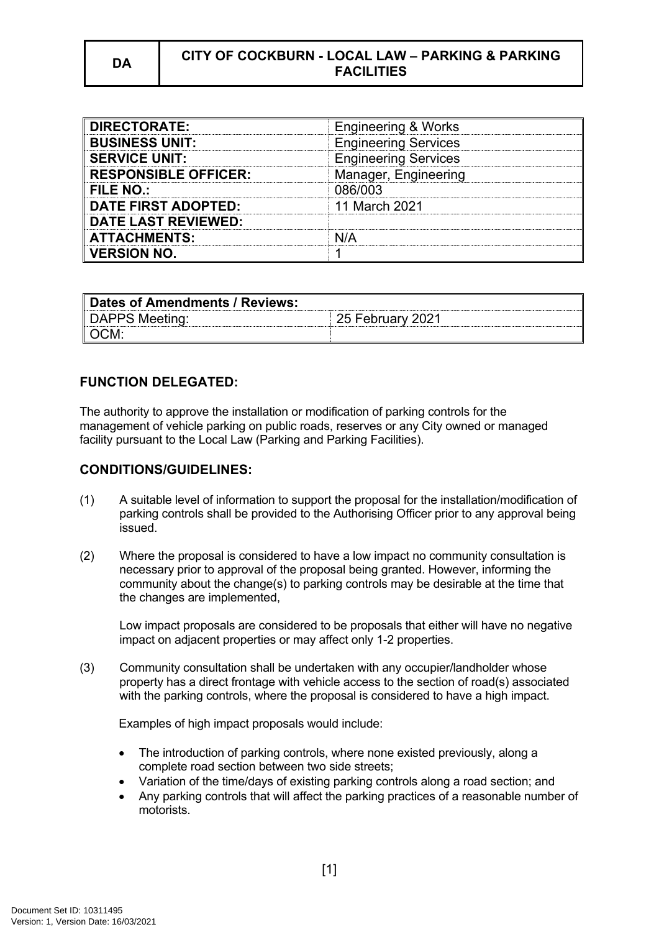## **DA CITY OF COCKBURN - LOCAL LAW – PARKING & PARKING FACILITIES**

| <b>DIRECTORATE:</b>         | <b>Engineering &amp; Works</b> |
|-----------------------------|--------------------------------|
| <b>BUSINESS UNIT:</b>       | <b>Engineering Services</b>    |
| <b>SERVICE UNIT:</b>        | <b>Engineering Services</b>    |
| <b>RESPONSIBLE OFFICER:</b> | Manager, Engineering           |
| <b>FILE NO.:</b>            | 086/003                        |
| <b>DATE FIRST ADOPTED:</b>  | 11 March 2021                  |
| <b>DATE LAST REVIEWED:</b>  |                                |
| <b>ATTACHMENTS:</b>         |                                |
| <b>VERSION NO.</b>          |                                |

| Dates of Amendments / Reviews: |                  |
|--------------------------------|------------------|
| DAPPS Meeting:                 | 25 February 2021 |
| ∥OCM:                          |                  |

# **FUNCTION DELEGATED:**

The authority to approve the installation or modification of parking controls for the management of vehicle parking on public roads, reserves or any City owned or managed facility pursuant to the Local Law (Parking and Parking Facilities).

#### **CONDITIONS/GUIDELINES:**

- (1) A suitable level of information to support the proposal for the installation/modification of parking controls shall be provided to the Authorising Officer prior to any approval being issued.
- (2) Where the proposal is considered to have a low impact no community consultation is necessary prior to approval of the proposal being granted. However, informing the community about the change(s) to parking controls may be desirable at the time that the changes are implemented,

Low impact proposals are considered to be proposals that either will have no negative impact on adjacent properties or may affect only 1-2 properties.

(3) Community consultation shall be undertaken with any occupier/landholder whose property has a direct frontage with vehicle access to the section of road(s) associated with the parking controls, where the proposal is considered to have a high impact.

Examples of high impact proposals would include:

- The introduction of parking controls, where none existed previously, along a complete road section between two side streets;
- Variation of the time/days of existing parking controls along a road section; and
- Any parking controls that will affect the parking practices of a reasonable number of motorists.